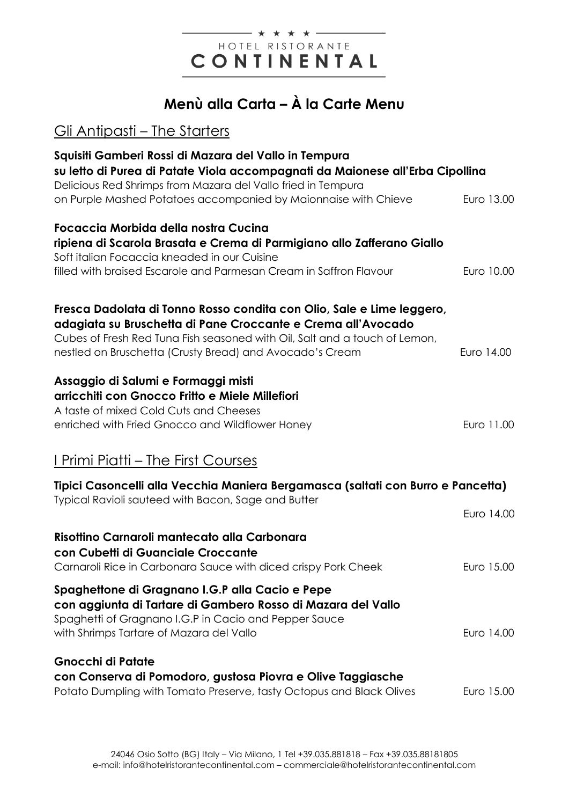### - \* \* \* \* -HOTEL RISTORANTE CONTINENTAL

# **Menù alla Carta – À la Carte Menu**

## Gli Antipasti – The Starters

| Squisiti Gamberi Rossi di Mazara del Vallo in Tempura<br>su letto di Purea di Patate Viola accompagnati da Maionese all'Erba Cipollina<br>Delicious Red Shrimps from Mazara del Vallo fried in Tempura                                                                          |            |
|---------------------------------------------------------------------------------------------------------------------------------------------------------------------------------------------------------------------------------------------------------------------------------|------------|
| on Purple Mashed Potatoes accompanied by Maionnaise with Chieve                                                                                                                                                                                                                 | Euro 13.00 |
| Focaccia Morbida della nostra Cucina<br>ripiena di Scarola Brasata e Crema di Parmigiano allo Zafferano Giallo<br>Soft italian Focaccia kneaded in our Cuisine<br>filled with braised Escarole and Parmesan Cream in Saffron Flavour                                            | Euro 10.00 |
| Fresca Dadolata di Tonno Rosso condita con Olio, Sale e Lime leggero,<br>adagiata su Bruschetta di Pane Croccante e Crema all'Avocado<br>Cubes of Fresh Red Tuna Fish seasoned with Oil, Salt and a touch of Lemon,<br>nestled on Bruschetta (Crusty Bread) and Avocado's Cream | Euro 14.00 |
| Assaggio di Salumi e Formaggi misti<br>arricchiti con Gnocco Fritto e Miele Millefiori<br>A taste of mixed Cold Cuts and Cheeses<br>enriched with Fried Gnocco and Wildflower Honey                                                                                             | Euro 11.00 |
| <u>I Primi Piatti – The First Courses</u>                                                                                                                                                                                                                                       |            |
| Tipici Casoncelli alla Vecchia Maniera Bergamasca (saltati con Burro e Pancetta)<br>Typical Ravioli sauteed with Bacon, Sage and Butter                                                                                                                                         |            |
|                                                                                                                                                                                                                                                                                 | Euro 14.00 |
| Risottino Carnaroli mantecato alla Carbonara<br>con Cubetti di Guanciale Croccante<br>Carnaroli Rice in Carbonara Sauce with diced crispy Pork Cheek                                                                                                                            | Euro 15.00 |
| Spaghettone di Gragnano I.G.P alla Cacio e Pepe<br>con aggiunta di Tartare di Gambero Rosso di Mazara del Vallo<br>Spaghetti of Gragnano I.G.P in Cacio and Pepper Sauce<br>with Shrimps Tartare of Mazara del Vallo                                                            | Euro 14.00 |
| <b>Gnocchi di Patate</b><br>con Conserva di Pomodoro, gustosa Piovra e Olive Taggiasche<br>Potato Dumpling with Tomato Preserve, tasty Octopus and Black Olives                                                                                                                 | Euro 15.00 |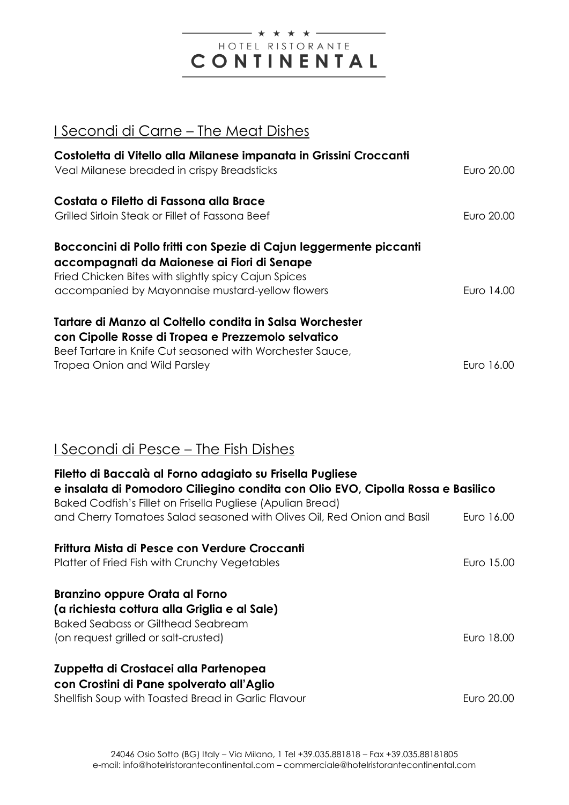#### \* \* \* \* \* -HOTEL RISTORANTE CONTINENTAL

### I Secondi di Carne - The Meat Dishes

| Costoletta di Vitello alla Milanese impanata in Grissini Croccanti<br>Veal Milanese breaded in crispy Breadsticks                                                                                                              | Euro 20.00 |
|--------------------------------------------------------------------------------------------------------------------------------------------------------------------------------------------------------------------------------|------------|
| Costata o Filetto di Fassona alla Brace<br>Grilled Sirloin Steak or Fillet of Fassona Beef                                                                                                                                     | Furo 20.00 |
| Bocconcini di Pollo fritti con Spezie di Cajun leggermente piccanti<br>accompagnati da Maionese ai Fiori di Senape<br>Fried Chicken Bites with slightly spicy Cajun Spices<br>accompanied by Mayonnaise mustard-yellow flowers | Euro 14.00 |
| Tartare di Manzo al Coltello condita in Salsa Worchester<br>con Cipolle Rosse di Tropea e Prezzemolo selvatico<br>Beef Tartare in Knife Cut seasoned with Worchester Sauce,<br>Tropea Onion and Wild Parsley                   | Furo 16.00 |

## I Secondi di Pesce - The Fish Dishes

| Filetto di Baccalà al Forno adagiato su Frisella Pugliese<br>e insalata di Pomodoro Ciliegino condita con Olio EVO, Cipolla Rossa e Basilico<br>Baked Codfish's Fillet on Frisella Pugliese (Apulian Bread) |            |  |
|-------------------------------------------------------------------------------------------------------------------------------------------------------------------------------------------------------------|------------|--|
| and Cherry Tomatoes Salad seasoned with Olives Oil, Red Onion and Basil                                                                                                                                     | Euro 16.00 |  |
| Frittura Mista di Pesce con Verdure Croccanti<br>Platter of Fried Fish with Crunchy Vegetables                                                                                                              | Euro 15.00 |  |
| <b>Branzino oppure Orata al Forno</b><br>(a richiesta cottura alla Griglia e al Sale)<br><b>Baked Seabass or Gilthead Seabream</b><br>(on request grilled or salt-crusted)                                  | Euro 18.00 |  |
| Zuppetta di Crostacei alla Partenopea<br>con Crostini di Pane spolverato all'Aglio<br>Shellfish Soup with Toasted Bread in Garlic Flavour                                                                   | Furo 20.00 |  |